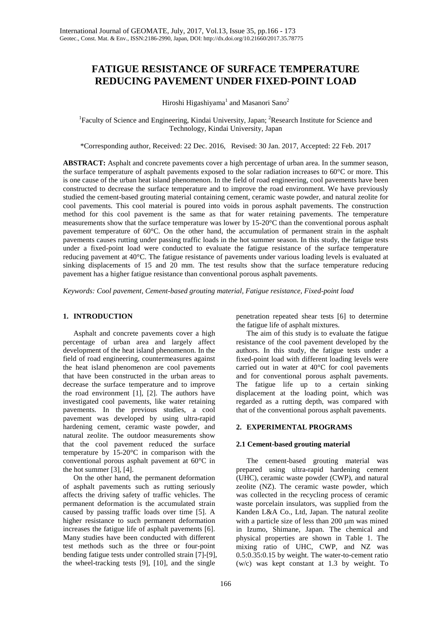# **FATIGUE RESISTANCE OF SURFACE TEMPERATURE REDUCING PAVEMENT UNDER FIXED-POINT LOAD**

Hiroshi Higashiyama<sup>1</sup> and Masanori Sano<sup>2</sup>

<sup>1</sup> Faculty of Science and Engineering, Kindai University, Japan; <sup>2</sup> Research Institute for Science and Technology, Kindai University, Japan

\*Corresponding author, Received: 22 Dec. 2016, Revised: 30 Jan. 2017, Accepted: 22 Feb. 2017

**ABSTRACT:** Asphalt and concrete pavements cover a high percentage of urban area. In the summer season, the surface temperature of asphalt pavements exposed to the solar radiation increases to 60°C or more. This is one cause of the urban heat island phenomenon. In the field of road engineering, cool pavements have been constructed to decrease the surface temperature and to improve the road environment. We have previously studied the cement-based grouting material containing cement, ceramic waste powder, and natural zeolite for cool pavements. This cool material is poured into voids in porous asphalt pavements. The construction method for this cool pavement is the same as that for water retaining pavements. The temperature measurements show that the surface temperature was lower by 15-20°C than the conventional porous asphalt pavement temperature of 60°C. On the other hand, the accumulation of permanent strain in the asphalt pavements causes rutting under passing traffic loads in the hot summer season. In this study, the fatigue tests under a fixed-point load were conducted to evaluate the fatigue resistance of the surface temperature reducing pavement at 40°C. The fatigue resistance of pavements under various loading levels is evaluated at sinking displacements of 15 and 20 mm. The test results show that the surface temperature reducing pavement has a higher fatigue resistance than conventional porous asphalt pavements.

*Keywords: Cool pavement, Cement-based grouting material, Fatigue resistance, Fixed-point load*

## **1. INTRODUCTION**

Asphalt and concrete pavements cover a high percentage of urban area and largely affect development of the heat island phenomenon. In the field of road engineering, countermeasures against the heat island phenomenon are cool pavements that have been constructed in the urban areas to decrease the surface temperature and to improve the road environment [1], [2]. The authors have investigated cool pavements, like water retaining pavements. In the previous studies, a cool pavement was developed by using ultra-rapid hardening cement, ceramic waste powder, and natural zeolite. The outdoor measurements show that the cool pavement reduced the surface temperature by 15-20°C in comparison with the conventional porous asphalt pavement at 60°C in the hot summer [3], [4].

On the other hand, the permanent deformation of asphalt pavements such as rutting seriously affects the driving safety of traffic vehicles. The permanent deformation is the accumulated strain caused by passing traffic loads over time [5]. A higher resistance to such permanent deformation increases the fatigue life of asphalt pavements [6]. Many studies have been conducted with different test methods such as the three or four-point bending fatigue tests under controlled strain [7]-[9], the wheel-tracking tests [9], [10], and the single

penetration repeated shear tests [6] to determine the fatigue life of asphalt mixtures.

The aim of this study is to evaluate the fatigue resistance of the cool pavement developed by the authors. In this study, the fatigue tests under a fixed-point load with different loading levels were carried out in water at 40°C for cool pavements and for conventional porous asphalt pavements. The fatigue life up to a certain sinking displacement at the loading point, which was regarded as a rutting depth, was compared with that of the conventional porous asphalt pavements.

## **2. EXPERIMENTAL PROGRAMS**

## **2.1 Cement-based grouting material**

The cement-based grouting material was prepared using ultra-rapid hardening cement (UHC), ceramic waste powder (CWP), and natural zeolite (NZ). The ceramic waste powder, which was collected in the recycling process of ceramic waste porcelain insulators, was supplied from the Kanden L&A Co., Ltd, Japan. The natural zeolite with a particle size of less than 200  $\mu$ m was mined in Izumo, Shimane, Japan. The chemical and physical properties are shown in Table 1. The mixing ratio of UHC, CWP, and NZ was 0.5:0.35:0.15 by weight. The water-to-cement ratio (w/c) was kept constant at 1.3 by weight. To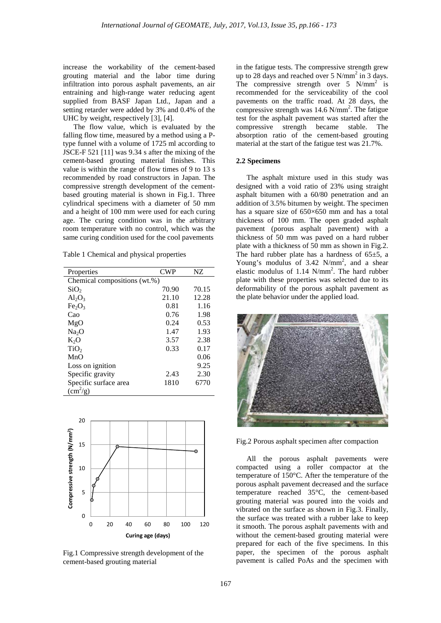increase the workability of the cement-based grouting material and the labor time during infiltration into porous asphalt pavements, an air entraining and high-range water reducing agent supplied from BASF Japan Ltd., Japan and a setting retarder were added by 3% and 0.4% of the UHC by weight, respectively [3], [4].

The flow value, which is evaluated by the falling flow time, measured by a method using a Ptype funnel with a volume of 1725 ml according to JSCE-F 521 [11] was 9.34 s after the mixing of the cement-based grouting material finishes. This value is within the range of flow times of 9 to 13 s recommended by road constructors in Japan. The compressive strength development of the cementbased grouting material is shown in Fig.1. Three cylindrical specimens with a diameter of 50 mm and a height of 100 mm were used for each curing age. The curing condition was in the arbitrary room temperature with no control, which was the same curing condition used for the cool pavements

Table 1 Chemical and physical properties

| Properties                     | <b>CWP</b> | NZ.   |  |  |
|--------------------------------|------------|-------|--|--|
| Chemical compositions (wt.%)   |            |       |  |  |
| SiO <sub>2</sub>               | 70.90      | 70.15 |  |  |
| $Al_2O_3$                      | 21.10      | 12.28 |  |  |
| Fe <sub>2</sub> O <sub>3</sub> | 0.81       | 1.16  |  |  |
| Cao                            | 0.76       | 1.98  |  |  |
| MgO                            | 0.24       | 0.53  |  |  |
| Na <sub>2</sub> O              | 1.47       | 1.93  |  |  |
| $K_2O$                         | 3.57       | 2.38  |  |  |
| TiO <sub>2</sub>               | 0.33       | 0.17  |  |  |
| MnO                            |            | 0.06  |  |  |
| Loss on ignition               |            | 9.25  |  |  |
| Specific gravity               | 2.43       | 2.30  |  |  |
| Specific surface area          | 1810       | 6770  |  |  |
| $\rm(cm^2/g)$                  |            |       |  |  |



Fig.1 Compressive strength development of the cement-based grouting material

in the fatigue tests. The compressive strength grew up to 28 days and reached over 5  $N/mm^2$  in 3 days. The compressive strength over  $5 \text{ N/mm}^2$  is recommended for the serviceability of the cool pavements on the traffic road. At 28 days, the compressive strength was  $14.6 \text{ N/mm}^2$ . The fatigue test for the asphalt pavement was started after the compressive strength became stable. The absorption ratio of the cement-based grouting material at the start of the fatigue test was 21.7%.

#### **2.2 Specimens**

The asphalt mixture used in this study was designed with a void ratio of 23% using straight asphalt bitumen with a 60/80 penetration and an addition of 3.5% bitumen by weight. The specimen has a square size of 650×650 mm and has a total thickness of 100 mm. The open graded asphalt pavement (porous asphalt pavement) with a thickness of 50 mm was paved on a hard rubber plate with a thickness of 50 mm as shown in Fig.2. The hard rubber plate has a hardness of  $65\pm5$ , a Young's modulus of  $3.42$  N/mm<sup>2</sup>, and a shear elastic modulus of  $1.14$  N/mm<sup>2</sup>. The hard rubber plate with these properties was selected due to its deformability of the porous asphalt pavement as the plate behavior under the applied load.



Fig.2 Porous asphalt specimen after compaction

All the porous asphalt pavements were compacted using a roller compactor at the temperature of 150°C. After the temperature of the porous asphalt pavement decreased and the surface temperature reached 35°C, the cement-based grouting material was poured into the voids and vibrated on the surface as shown in Fig.3. Finally, the surface was treated with a rubber lake to keep it smooth. The porous asphalt pavements with and without the cement-based grouting material were prepared for each of the five specimens. In this paper, the specimen of the porous asphalt pavement is called PoAs and the specimen with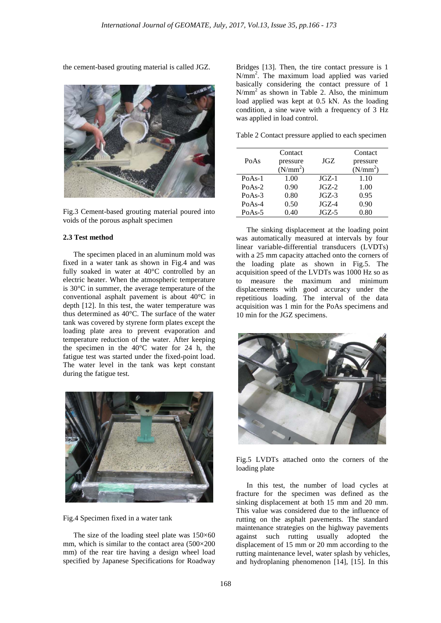the cement-based grouting material is called JGZ.



Fig.3 Cement-based grouting material poured into voids of the porous asphalt specimen

### **2.3 Test method**

The specimen placed in an aluminum mold was fixed in a water tank as shown in Fig.4 and was fully soaked in water at 40°C controlled by an electric heater. When the atmospheric temperature is 30°C in summer, the average temperature of the conventional asphalt pavement is about 40°C in depth [12]. In this test, the water temperature was thus determined as 40°C. The surface of the water tank was covered by styrene form plates except the loading plate area to prevent evaporation and temperature reduction of the water. After keeping the specimen in the 40°C water for 24 h, the fatigue test was started under the fixed-point load. The water level in the tank was kept constant during the fatigue test.



Fig.4 Specimen fixed in a water tank

The size of the loading steel plate was  $150\times60$ mm, which is similar to the contact area (500×200 mm) of the rear tire having a design wheel load specified by Japanese Specifications for Roadway

Bridges [13]. Then, the tire contact pressure is 1 N/mm2 . The maximum load applied was varied basically considering the contact pressure of 1  $N/mm<sup>2</sup>$  as shown in Table 2. Also, the minimum load applied was kept at 0.5 kN. As the loading condition, a sine wave with a frequency of 3 Hz was applied in load control.

Table 2 Contact pressure applied to each specimen

| PoAs     | Contact<br>pressure<br>(N/mm <sup>2</sup> ) | JGZ.     | Contact<br>pressure<br>(N/mm <sup>2</sup> ) |
|----------|---------------------------------------------|----------|---------------------------------------------|
| $PoAs-1$ | 1.00                                        | $J$ GZ-1 | 1.10                                        |
| $PoAs-2$ | 0.90                                        | $JGZ-2$  | 1.00                                        |
| $PoAs-3$ | 0.80                                        | $JGZ-3$  | 0.95                                        |
| $PoAs-4$ | 0.50                                        | $JGZ-4$  | 0.90                                        |
| $PoAs-5$ | 0.40                                        | $JGZ-5$  | 0.80                                        |

The sinking displacement at the loading point was automatically measured at intervals by four linear variable-differential transducers (LVDTs) with a 25 mm capacity attached onto the corners of the loading plate as shown in Fig.5. The acquisition speed of the LVDTs was 1000 Hz so as to measure the maximum and minimum displacements with good accuracy under the repetitious loading. The interval of the data acquisition was 1 min for the PoAs specimens and 10 min for the JGZ specimens.



Fig.5 LVDTs attached onto the corners of the loading plate

In this test, the number of load cycles at fracture for the specimen was defined as the sinking displacement at both 15 mm and 20 mm. This value was considered due to the influence of rutting on the asphalt pavements. The standard maintenance strategies on the highway pavements against such rutting usually adopted the displacement of 15 mm or 20 mm according to the rutting maintenance level, water splash by vehicles, and hydroplaning phenomenon [14], [15]. In this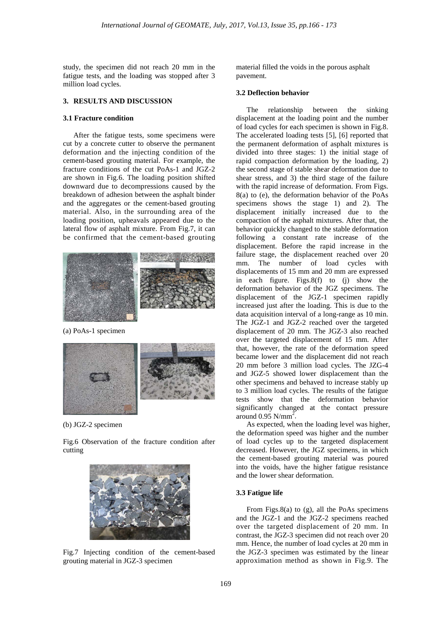study, the specimen did not reach 20 mm in the fatigue tests, and the loading was stopped after 3 million load cycles.

#### **3. RESULTS AND DISCUSSION**

#### **3.1 Fracture condition**

After the fatigue tests, some specimens were cut by a concrete cutter to observe the permanent deformation and the injecting condition of the cement-based grouting material. For example, the fracture conditions of the cut PoAs-1 and JGZ-2 are shown in Fig.6. The loading position shifted downward due to decompressions caused by the breakdown of adhesion between the asphalt binder and the aggregates or the cement-based grouting material. Also, in the surrounding area of the loading position, upheavals appeared due to the lateral flow of asphalt mixture. From Fig.7, it can be confirmed that the cement-based grouting



(a) PoAs-1 specimen



(b) JGZ-2 specimen

Fig.6 Observation of the fracture condition after cutting



Fig.7 Injecting condition of the cement-based grouting material in JGZ-3 specimen

material filled the voids in the porous asphalt pavement.

#### **3.2 Deflection behavior**

The relationship between the sinking displacement at the loading point and the number of load cycles for each specimen is shown in Fig.8. The accelerated loading tests [5], [6] reported that the permanent deformation of asphalt mixtures is divided into three stages: 1) the initial stage of rapid compaction deformation by the loading, 2) the second stage of stable shear deformation due to shear stress, and 3) the third stage of the failure with the rapid increase of deformation. From Figs. 8(a) to (e), the deformation behavior of the PoAs specimens shows the stage 1) and 2). The displacement initially increased due to the compaction of the asphalt mixtures. After that, the behavior quickly changed to the stable deformation following a constant rate increase of the displacement. Before the rapid increase in the failure stage, the displacement reached over 20 mm. The number of load cycles with displacements of 15 mm and 20 mm are expressed in each figure. Figs.8(f) to (j) show the deformation behavior of the JGZ specimens. The displacement of the JGZ-1 specimen rapidly increased just after the loading. This is due to the data acquisition interval of a long-range as 10 min. The JGZ-1 and JGZ-2 reached over the targeted displacement of 20 mm. The JGZ-3 also reached over the targeted displacement of 15 mm. After that, however, the rate of the deformation speed became lower and the displacement did not reach 20 mm before 3 million load cycles. The JZG-4 and JGZ-5 showed lower displacement than the other specimens and behaved to increase stably up to 3 million load cycles. The results of the fatigue tests show that the deformation behavior significantly changed at the contact pressure around  $0.95$  N/mm<sup>2</sup>.

As expected, when the loading level was higher, the deformation speed was higher and the number of load cycles up to the targeted displacement decreased. However, the JGZ specimens, in which the cement-based grouting material was poured into the voids, have the higher fatigue resistance and the lower shear deformation.

# **3.3 Fatigue life**

From Figs.8(a) to (g), all the PoAs specimens and the JGZ-1 and the JGZ-2 specimens reached over the targeted displacement of 20 mm. In contrast, the JGZ-3 specimen did not reach over 20 mm. Hence, the number of load cycles at 20 mm in the JGZ-3 specimen was estimated by the linear approximation method as shown in Fig.9. The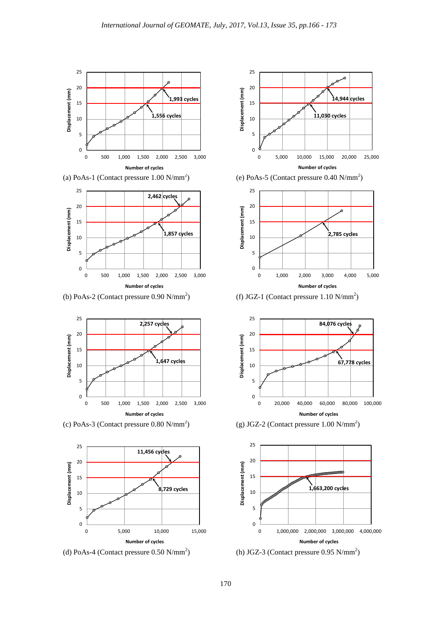

(a) PoAs-1 (Contact pressure  $1.00 \text{ N/mm}^2$ )



(b) PoAs-2 (Contact pressure  $0.90$  N/mm<sup>2</sup>)



 $(c)$  PoAs-3 (Contact pressure 0.80 N/mm<sup>2</sup>)







(h) JGZ-3 (Contact pressure  $0.95$  N/mm<sup>2</sup>)

0 1,000,000 2,000,000 3,000,000 4,000,000

**Number of cycles**



 $\Omega$ 

5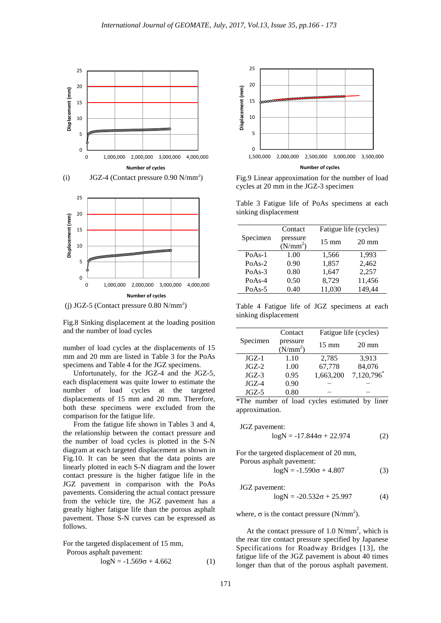

 $(j)$  JGZ-5 (Contact pressure 0.80 N/mm<sup>2</sup>)

Fig.8 Sinking displacement at the loading position and the number of load cycles

number of load cycles at the displacements of 15 mm and 20 mm are listed in Table 3 for the PoAs specimens and Table 4 for the JGZ specimens.

Unfortunately, for the JGZ-4 and the JGZ-5, each displacement was quite lower to estimate the number of load cycles at the targeted displacements of 15 mm and 20 mm. Therefore, both these specimens were excluded from the comparison for the fatigue life.

From the fatigue life shown in Tables 3 and 4, the relationship between the contact pressure and the number of load cycles is plotted in the S-N diagram at each targeted displacement as shown in Fig.10. It can be seen that the data points are linearly plotted in each S-N diagram and the lower contact pressure is the higher fatigue life in the JGZ pavement in comparison with the PoAs pavements. Considering the actual contact pressure from the vehicle tire, the JGZ pavement has a greatly higher fatigue life than the porous asphalt pavement. Those S-N curves can be expressed as follows.

For the targeted displacement of 15 mm,

Porous asphalt pavement:

$$
logN = -1.569\sigma + 4.662\tag{1}
$$



Fig.9 Linear approximation for the number of load cycles at 20 mm in the JGZ-3 specimen

Table 3 Fatigue life of PoAs specimens at each sinking displacement

|          | Contact                          | Fatigue life (cycles) |                 |
|----------|----------------------------------|-----------------------|-----------------|
| Specimen | pressure<br>(N/mm <sup>2</sup> ) | $15 \text{ mm}$       | $20 \text{ mm}$ |
| $PoAs-1$ | 1.00                             | 1,566                 | 1.993           |
| $PoAs-2$ | 0.90                             | 1,857                 | 2,462           |
| $PoAs-3$ | 0.80                             | 1,647                 | 2,257           |
| $PoAs-4$ | 0.50                             | 8,729                 | 11,456          |
| $PoAs-5$ | 0.40                             | 11,030                | 149,44          |
|          |                                  |                       |                 |

Table 4 Fatigue life of JGZ specimens at each sinking displacement

|          | Contact                | Fatigue life (cycles) |                 |
|----------|------------------------|-----------------------|-----------------|
| Specimen | pressure<br>$(N/mm^2)$ | $15 \text{ mm}$       | $20 \text{ mm}$ |
| $JGZ-1$  | 1.10                   | 2,785                 | 3,913           |
| $JGZ-2$  | 1.00                   | 67,778                | 84,076          |
| $JGZ-3$  | 0.95                   | 1,663,200             | 7,120,796       |
| $JGZ-4$  | 0.90                   |                       |                 |
| $JGZ-5$  | 0.80                   |                       |                 |

\*The number of load cycles estimated by liner approximation.

$$
JGZ\text{ parameter:}\n\log N = -17.844\sigma + 22.974
$$
\n(2)

For the targeted displacement of 20 mm, Porous asphalt pavement:

$$
logN = -1.590\sigma + 4.807\tag{3}
$$

JGZ pavement:

$$
log N = -20.532\sigma + 25.997\tag{4}
$$

where,  $\sigma$  is the contact pressure (N/mm<sup>2</sup>).

At the contact pressure of  $1.0 \text{ N/mm}^2$ , which is the rear tire contact pressure specified by Japanese Specifications for Roadway Bridges [13], the fatigue life of the JGZ pavement is about 40 times longer than that of the porous asphalt pavement.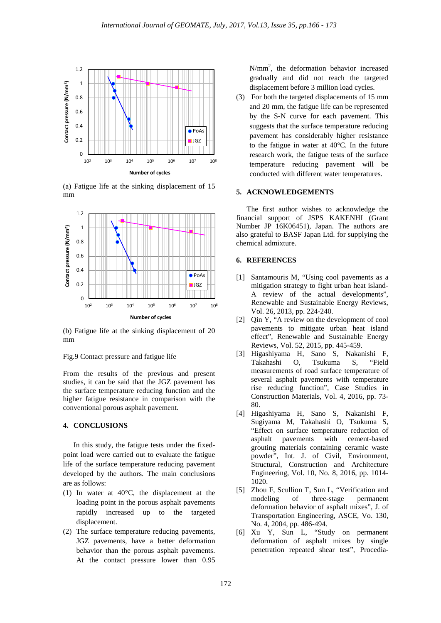

(a) Fatigue life at the sinking displacement of 15 mm



(b) Fatigue life at the sinking displacement of 20 mm

#### Fig.9 Contact pressure and fatigue life

From the results of the previous and present studies, it can be said that the JGZ pavement has the surface temperature reducing function and the higher fatigue resistance in comparison with the conventional porous asphalt pavement.

## **4. CONCLUSIONS**

In this study, the fatigue tests under the fixedpoint load were carried out to evaluate the fatigue life of the surface temperature reducing pavement developed by the authors. The main conclusions are as follows:

- (1) In water at 40°C, the displacement at the loading point in the porous asphalt pavements rapidly increased up to the targeted displacement.
- (2) The surface temperature reducing pavements, JGZ pavements, have a better deformation behavior than the porous asphalt pavements. At the contact pressure lower than 0.95

N/mm2 , the deformation behavior increased gradually and did not reach the targeted displacement before 3 million load cycles.

(3) For both the targeted displacements of 15 mm and 20 mm, the fatigue life can be represented by the S-N curve for each pavement. This suggests that the surface temperature reducing pavement has considerably higher resistance to the fatigue in water at 40°C. In the future research work, the fatigue tests of the surface temperature reducing pavement will be conducted with different water temperatures.

#### **5. ACKNOWLEDGEMENTS**

The first author wishes to acknowledge the financial support of JSPS KAKENHI (Grant Number JP 16K06451), Japan. The authors are also grateful to BASF Japan Ltd. for supplying the chemical admixture.

#### **6. REFERENCES**

- [1] Santamouris M, "Using cool pavements as a mitigation strategy to fight urban heat island-A review of the actual developments", Renewable and Sustainable Energy Reviews, Vol. 26, 2013, pp. 224-240.
- [2] Qin Y, "A review on the development of cool pavements to mitigate urban heat island effect", Renewable and Sustainable Energy Reviews, Vol. 52, 2015, pp. 445-459.
- [3] Higashiyama H, Sano S, Nakanishi F, Takahashi O, Tsukuma S, "Field measurements of road surface temperature of several asphalt pavements with temperature rise reducing function", Case Studies in Construction Materials, Vol. 4, 2016, pp. 73- 80.
- [4] Higashiyama H, Sano S, Nakanishi F, Sugiyama M, Takahashi O, Tsukuma S, "Effect on surface temperature reduction of asphalt pavements with cement-based grouting materials containing ceramic waste powder", Int. J. of Civil, Environment, Structural, Construction and Architecture Engineering, Vol. 10, No. 8, 2016, pp. 1014- 1020.
- [5] Zhou F, Scullion T, Sun L, "Verification and modeling of three-stage permanent deformation behavior of asphalt mixes", J. of Transportation Engineering, ASCE, Vo. 130, No. 4, 2004, pp. 486-494.
- [6] Xu Y, Sun L, "Study on permanent deformation of asphalt mixes by single penetration repeated shear test", Procedia-